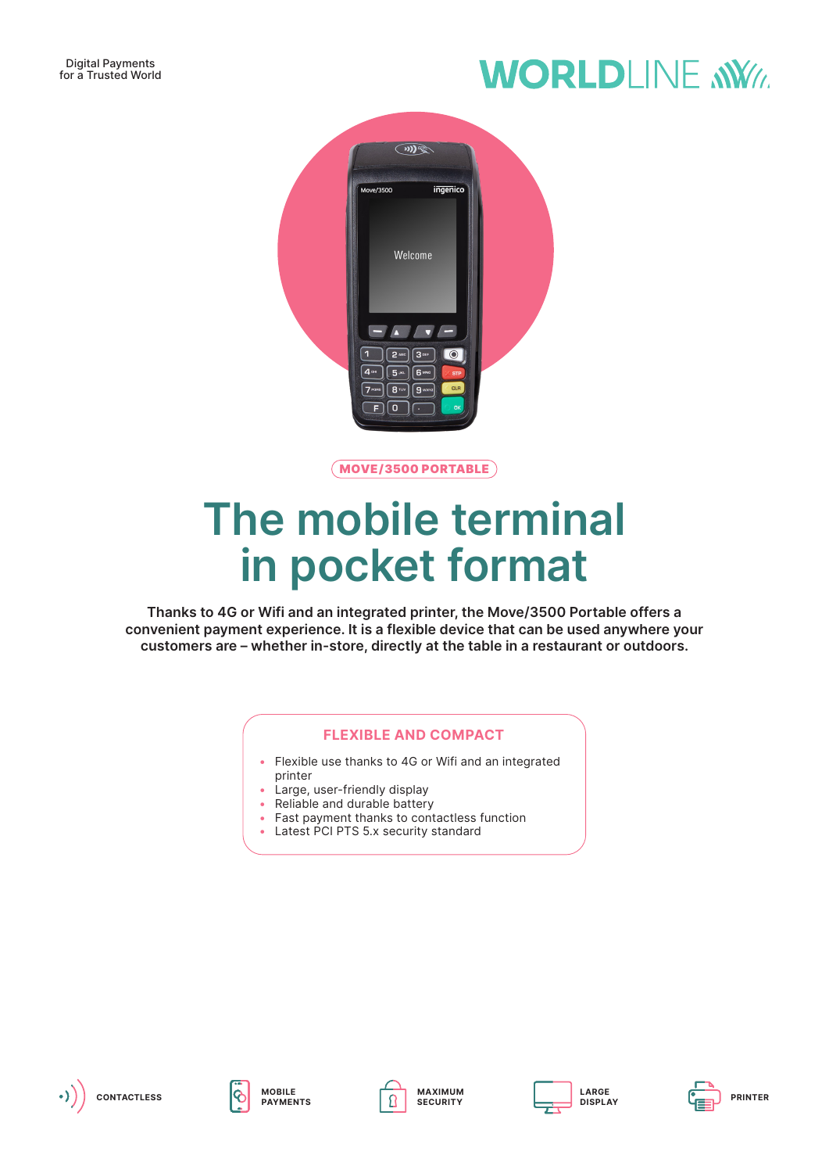## **WORLDLINE NWW**



MOVE/3500 PORTABLE

# **The mobile terminal in pocket format**

**Thanks to 4G or Wifi and an integrated printer, the Move/3500 Portable offers a convenient payment experience. It is a flexible device that can be used anywhere your customers are – whether in-store, directly at the table in a restaurant or outdoors.**

### **FLEXIBLE AND COMPACT**

- Flexible use thanks to 4G or Wifi and an integrated printer
- Large, user-friendly display
- Reliable and durable battery
- Fast payment thanks to contactless function
- Latest PCI PTS 5.x security standard